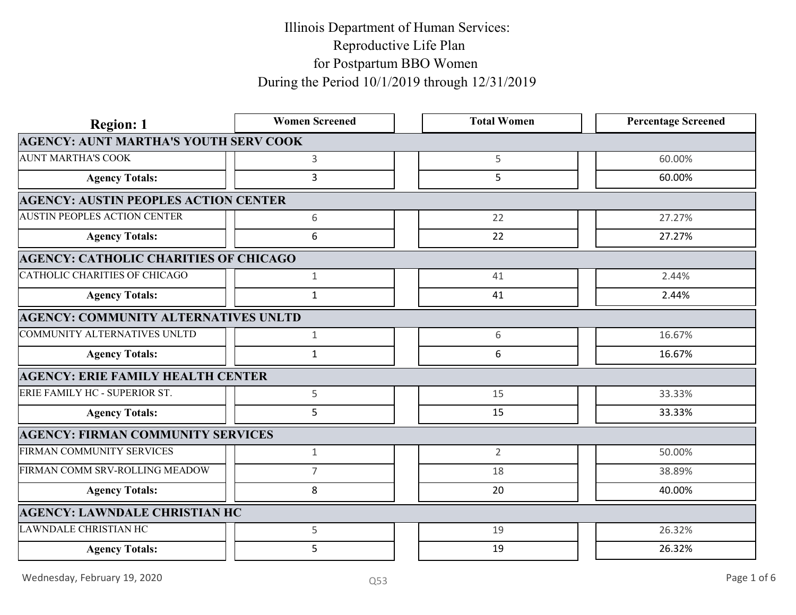| <b>Region: 1</b>                             | <b>Women Screened</b> | <b>Total Women</b> | <b>Percentage Screened</b> |
|----------------------------------------------|-----------------------|--------------------|----------------------------|
| <b>AGENCY: AUNT MARTHA'S YOUTH SERV COOK</b> |                       |                    |                            |
| <b>AUNT MARTHA'S COOK</b>                    | 3                     | 5                  | 60.00%                     |
| <b>Agency Totals:</b>                        | $\mathbf{3}$          | 5                  | 60.00%                     |
| <b>AGENCY: AUSTIN PEOPLES ACTION CENTER</b>  |                       |                    |                            |
| <b>AUSTIN PEOPLES ACTION CENTER</b>          | 6                     | 22                 | 27.27%                     |
| <b>Agency Totals:</b>                        | 6                     | 22                 | 27.27%                     |
| <b>AGENCY: CATHOLIC CHARITIES OF CHICAGO</b> |                       |                    |                            |
| CATHOLIC CHARITIES OF CHICAGO                | 1                     | 41                 | 2.44%                      |
| <b>Agency Totals:</b>                        | $\mathbf 1$           | 41                 | 2.44%                      |
| <b>AGENCY: COMMUNITY ALTERNATIVES UNLTD</b>  |                       |                    |                            |
| COMMUNITY ALTERNATIVES UNLTD                 | $\mathbf{1}$          | 6                  | 16.67%                     |
| <b>Agency Totals:</b>                        | 1                     | 6                  | 16.67%                     |
| <b>AGENCY: ERIE FAMILY HEALTH CENTER</b>     |                       |                    |                            |
| ERIE FAMILY HC - SUPERIOR ST.                | 5                     | 15                 | 33.33%                     |
| <b>Agency Totals:</b>                        | 5                     | 15                 | 33.33%                     |
| <b>AGENCY: FIRMAN COMMUNITY SERVICES</b>     |                       |                    |                            |
| FIRMAN COMMUNITY SERVICES                    | $\mathbf{1}$          | $\overline{2}$     | 50.00%                     |
| FIRMAN COMM SRV-ROLLING MEADOW               | $\overline{7}$        | 18                 | 38.89%                     |
| <b>Agency Totals:</b>                        | 8                     | 20                 | 40.00%                     |
| <b>AGENCY: LAWNDALE CHRISTIAN HC</b>         |                       |                    |                            |
| LAWNDALE CHRISTIAN HC                        | 5                     | 19                 | 26.32%                     |
| <b>Agency Totals:</b>                        | 5                     | 19                 | 26.32%                     |
|                                              |                       |                    | Page 1 of 6                |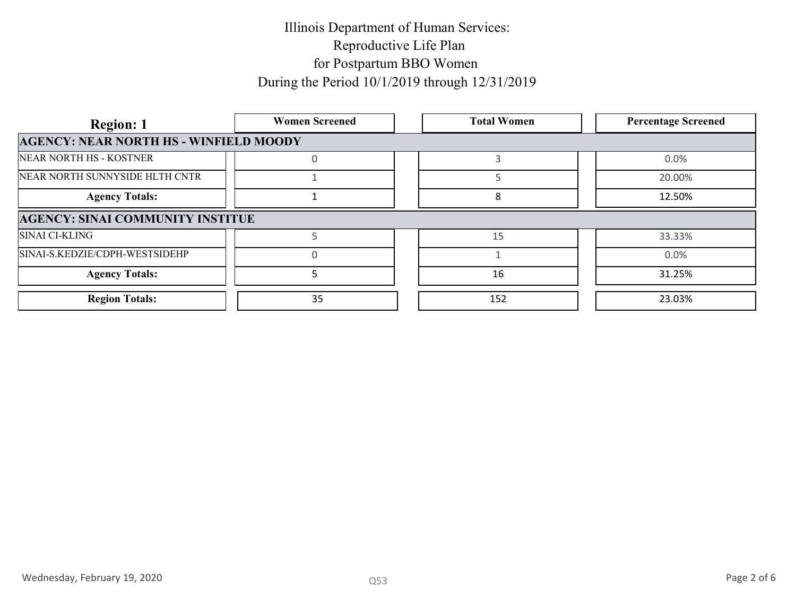| <b>Region: 1</b>                              | <b>Women Screened</b> | <b>Total Women</b> | <b>Percentage Screened</b> |
|-----------------------------------------------|-----------------------|--------------------|----------------------------|
| <b>AGENCY: NEAR NORTH HS - WINFIELD MOODY</b> |                       |                    |                            |
| NEAR NORTH HS - KOSTNER                       |                       |                    | $0.0\%$                    |
| NEAR NORTH SUNNYSIDE HLTH CNTR                |                       |                    | 20.00%                     |
| <b>Agency Totals:</b>                         |                       |                    | 12.50%                     |
| <b>AGENCY: SINAI COMMUNITY INSTITUE</b>       |                       |                    |                            |
| <b>SINAI CI-KLING</b>                         |                       | 15                 | 33.33%                     |
| SINAI-S.KEDZIE/CDPH-WESTSIDEHP                |                       |                    | $0.0\%$                    |
| <b>Agency Totals:</b>                         |                       | 16                 | 31.25%                     |
| <b>Region Totals:</b>                         | 35                    | 152                | 23.03%                     |
|                                               |                       |                    |                            |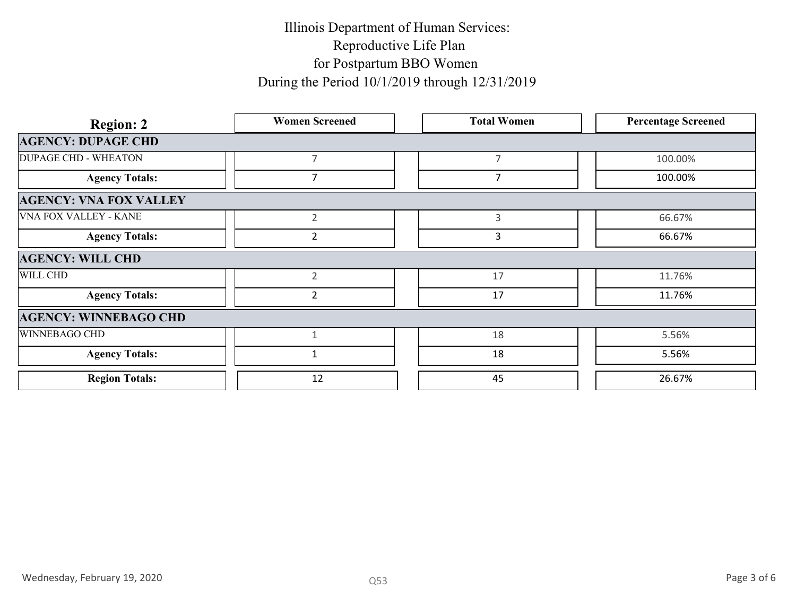| <b>Region: 2</b>              | <b>Women Screened</b> | <b>Total Women</b> | <b>Percentage Screened</b> |
|-------------------------------|-----------------------|--------------------|----------------------------|
| <b>AGENCY: DUPAGE CHD</b>     |                       |                    |                            |
| <b>DUPAGE CHD - WHEATON</b>   | $\overline{7}$        | $\overline{7}$     | 100.00%                    |
| <b>Agency Totals:</b>         | $\overline{7}$        | $\overline{7}$     | 100.00%                    |
| <b>AGENCY: VNA FOX VALLEY</b> |                       |                    |                            |
| <b>VNA FOX VALLEY - KANE</b>  | $\overline{2}$        | $\mathbf{3}$       | 66.67%                     |
| <b>Agency Totals:</b>         | $\overline{2}$        | $\overline{3}$     | 66.67%                     |
| <b>AGENCY: WILL CHD</b>       |                       |                    |                            |
| WILL CHD                      | $\overline{2}$        | 17                 | 11.76%                     |
| <b>Agency Totals:</b>         | $\overline{2}$        | 17                 | 11.76%                     |
| <b>AGENCY: WINNEBAGO CHD</b>  |                       |                    |                            |
| WINNEBAGO CHD                 | $\mathbf{1}$          | 18                 | 5.56%                      |
| <b>Agency Totals:</b>         | $\mathbf{1}$          | 18                 | 5.56%                      |
| <b>Region Totals:</b>         | 12                    | 45                 | 26.67%                     |
|                               |                       |                    |                            |
| Wednesday, February 19, 2020  | Q53                   |                    | Page 3 of 6                |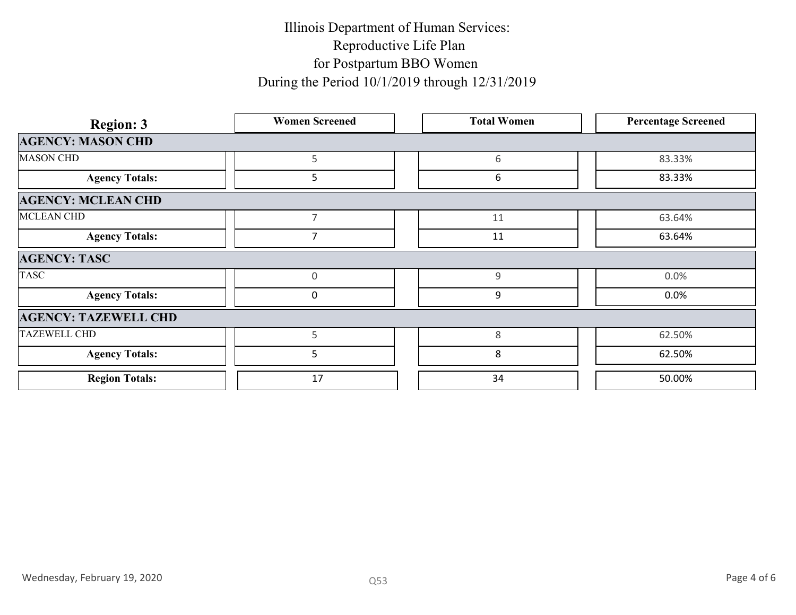| <b>Region: 3</b>             | <b>Women Screened</b> | <b>Total Women</b> | <b>Percentage Screened</b> |
|------------------------------|-----------------------|--------------------|----------------------------|
| <b>AGENCY: MASON CHD</b>     |                       |                    |                            |
| <b>MASON CHD</b>             | 5                     | 6                  | 83.33%                     |
| <b>Agency Totals:</b>        | $5\phantom{.}$        | 6                  | 83.33%                     |
| <b>AGENCY: MCLEAN CHD</b>    |                       |                    |                            |
| <b>MCLEAN CHD</b>            | $\overline{7}$        | 11                 | 63.64%                     |
| <b>Agency Totals:</b>        | $\overline{7}$        | 11                 | 63.64%                     |
| <b>AGENCY: TASC</b>          |                       |                    |                            |
| <b>TASC</b>                  | $\overline{0}$        | 9                  | $0.0\%$                    |
| <b>Agency Totals:</b>        | $\mathbf 0$           | $\boldsymbol{9}$   | $0.0\%$                    |
| <b>AGENCY: TAZEWELL CHD</b>  |                       |                    |                            |
| <b>TAZEWELL CHD</b>          | 5                     | $\,8\,$            | 62.50%                     |
| <b>Agency Totals:</b>        | $5\phantom{.}$        | $\bf 8$            | 62.50%                     |
| <b>Region Totals:</b>        | 17                    | 34                 | 50.00%                     |
|                              |                       |                    |                            |
| Wednesday, February 19, 2020 | Q53                   |                    | Page 4 of 6                |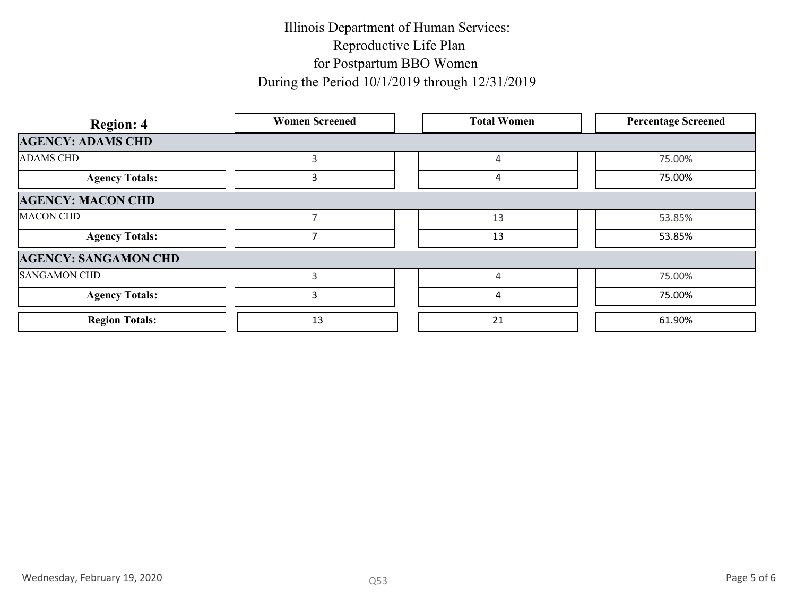| <b>Region: 4</b>            | <b>Women Screened</b> | <b>Total Women</b> | <b>Percentage Screened</b> |
|-----------------------------|-----------------------|--------------------|----------------------------|
| <b>AGENCY: ADAMS CHD</b>    |                       |                    |                            |
| <b>ADAMS CHD</b>            | $\mathsf{3}$          | $\overline{4}$     | 75.00%                     |
| <b>Agency Totals:</b>       | $\mathbf{3}$          | $\overline{a}$     | 75.00%                     |
| <b>AGENCY: MACON CHD</b>    |                       |                    |                            |
| <b>MACON CHD</b>            | $7\overline{ }$       | 13                 | 53.85%                     |
| <b>Agency Totals:</b>       | 7 <sup>7</sup>        | 13                 | 53.85%                     |
| <b>AGENCY: SANGAMON CHD</b> |                       |                    |                            |
| <b>SANGAMON CHD</b>         | $\mathbf{3}$          | $\overline{4}$     | 75.00%                     |
| <b>Agency Totals:</b>       | $\mathbf{3}$          | $\overline{a}$     | 75.00%                     |
| <b>Region Totals:</b>       | 13                    | 21                 | 61.90%                     |
|                             |                       |                    |                            |
|                             |                       |                    |                            |